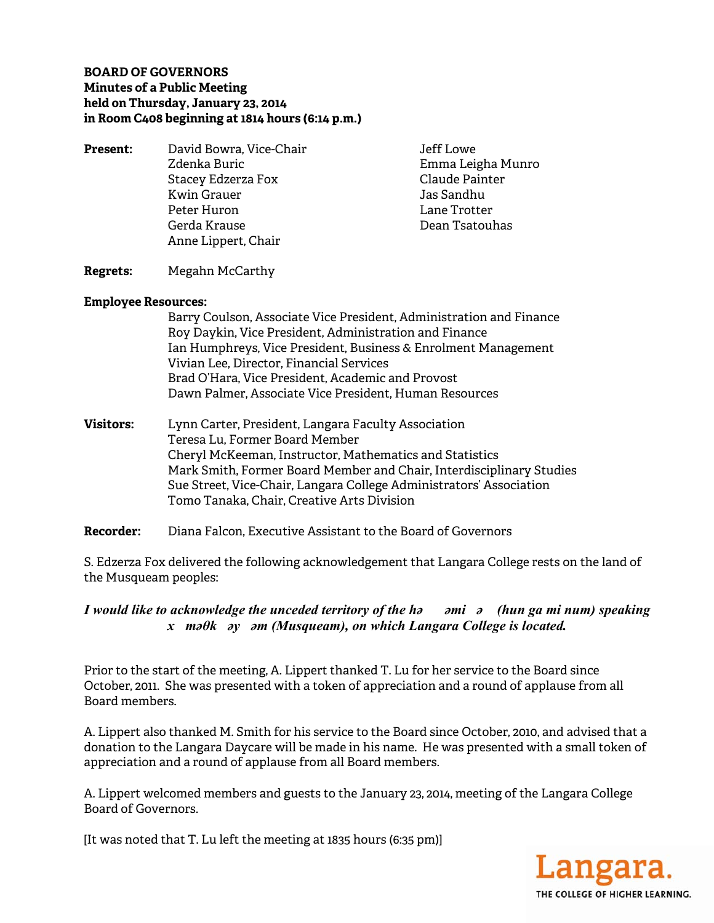### **BOARD OF GOVERNORS Minutes of a Public Meeting held on Thursday, January 23, 2014 in Room C408 beginning at 1814 hours (6:14 p.m.)**

**Present:** David Bowra, Vice-Chair **David Bowra**, Vice-Chair Zdenka Buric **Emma Leigha Munro** Stacey Edzerza Fox **Claude Painter** Kwin Grauer **Jas Sandhu**  Peter Huron Lane Trotter Gerda Krause Dean Tsatouhas Anne Lippert, Chair

#### **Regrets:** Megahn McCarthy

#### **Employee Resources:**

|                  | Barry Coulson, Associate Vice President, Administration and Finance<br>Roy Daykin, Vice President, Administration and Finance<br>Ian Humphreys, Vice President, Business & Enrolment Management<br>Vivian Lee, Director, Financial Services<br>Brad O'Hara, Vice President, Academic and Provost |
|------------------|--------------------------------------------------------------------------------------------------------------------------------------------------------------------------------------------------------------------------------------------------------------------------------------------------|
|                  | Dawn Palmer, Associate Vice President, Human Resources                                                                                                                                                                                                                                           |
| <b>Visitors:</b> | Lynn Carter, President, Langara Faculty Association<br>Teresa Lu, Former Board Member<br>Cheryl McKeeman, Instructor, Mathematics and Statistics<br>Mark Smith, Former Board Member and Chair, Interdisciplinary Studies                                                                         |
|                  |                                                                                                                                                                                                                                                                                                  |

 Sue Street, Vice-Chair, Langara College Administrators' Association Tomo Tanaka, Chair, Creative Arts Division

**Recorder:** Diana Falcon, Executive Assistant to the Board of Governors

S. Edzerza Fox delivered the following acknowledgement that Langara College rests on the land of the Musqueam peoples:

*I would like to acknowledge the unceded territory of the həəmiə (hun ga mi num) speaking xməθkəyəm (Musqueam), on which Langara College is located.* 

Prior to the start of the meeting, A. Lippert thanked T. Lu for her service to the Board since October, 2011. She was presented with a token of appreciation and a round of applause from all Board members.

A. Lippert also thanked M. Smith for his service to the Board since October, 2010, and advised that a donation to the Langara Daycare will be made in his name. He was presented with a small token of appreciation and a round of applause from all Board members.

A. Lippert welcomed members and guests to the January 23, 2014, meeting of the Langara College Board of Governors.

[It was noted that T. Lu left the meeting at 1835 hours (6:35 pm)]

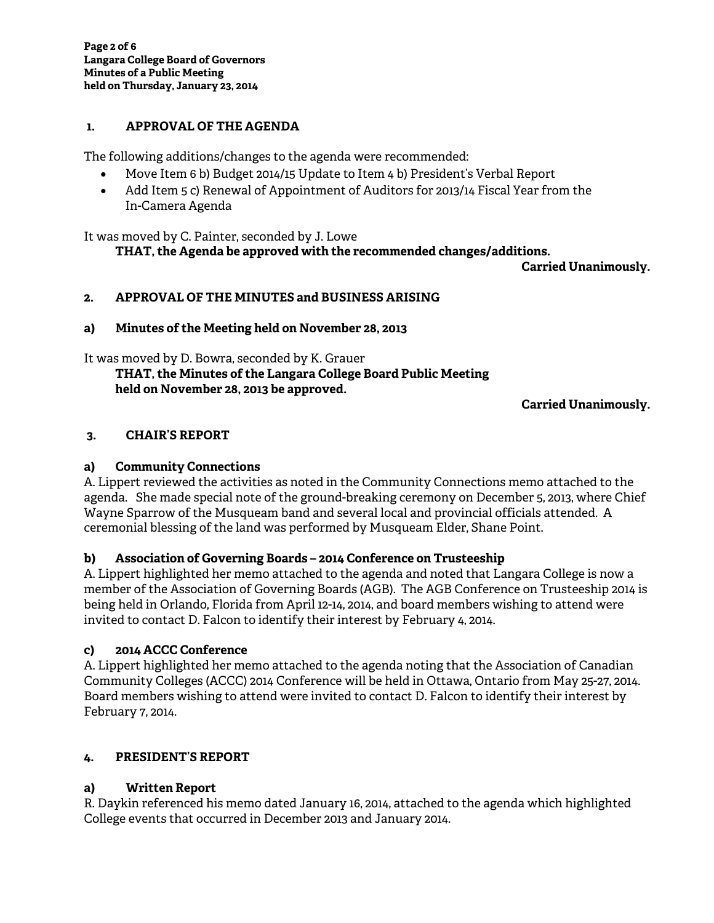#### **1. APPROVAL OF THE AGENDA**

The following additions/changes to the agenda were recommended:

- Move Item 6 b) Budget 2014/15 Update to Item 4 b) President's Verbal Report
- Add Item 5 c) Renewal of Appointment of Auditors for 2013/14 Fiscal Year from the In-Camera Agenda

It was moved by C. Painter, seconded by J. Lowe

**THAT, the Agenda be approved with the recommended changes/additions.** 

**Carried Unanimously.** 

### **2. APPROVAL OF THE MINUTES and BUSINESS ARISING**

#### **a) Minutes of the Meeting held on November 28, 2013**

It was moved by D. Bowra, seconded by K. Grauer

 **THAT, the Minutes of the Langara College Board Public Meeting held on November 28, 2013 be approved.** 

**Carried Unanimously.** 

### **3. CHAIR'S REPORT**

### **a) Community Connections**

A. Lippert reviewed the activities as noted in the Community Connections memo attached to the agenda. She made special note of the ground-breaking ceremony on December 5, 2013, where Chief Wayne Sparrow of the Musqueam band and several local and provincial officials attended. A ceremonial blessing of the land was performed by Musqueam Elder, Shane Point.

### **b) Association of Governing Boards – 2014 Conference on Trusteeship**

A. Lippert highlighted her memo attached to the agenda and noted that Langara College is now a member of the Association of Governing Boards (AGB). The AGB Conference on Trusteeship 2014 is being held in Orlando, Florida from April 12-14, 2014, and board members wishing to attend were invited to contact D. Falcon to identify their interest by February 4, 2014.

### **c) 2014 ACCC Conference**

A. Lippert highlighted her memo attached to the agenda noting that the Association of Canadian Community Colleges (ACCC) 2014 Conference will be held in Ottawa, Ontario from May 25-27, 2014. Board members wishing to attend were invited to contact D. Falcon to identify their interest by February 7, 2014.

### **4. PRESIDENT'S REPORT**

### **a) Written Report**

R. Daykin referenced his memo dated January 16, 2014, attached to the agenda which highlighted College events that occurred in December 2013 and January 2014.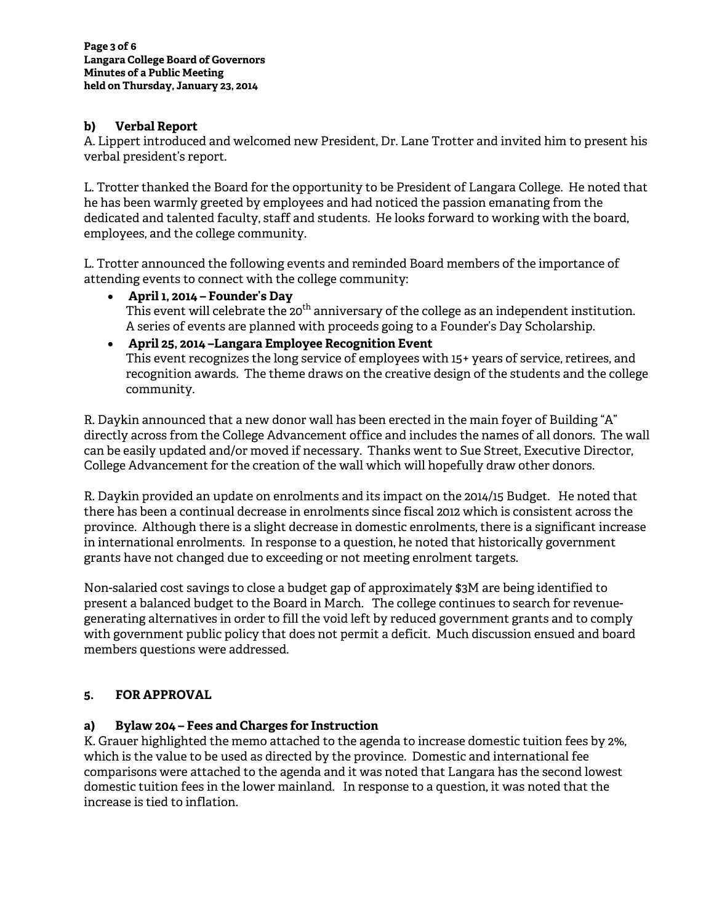### **b) Verbal Report**

A. Lippert introduced and welcomed new President, Dr. Lane Trotter and invited him to present his verbal president's report.

L. Trotter thanked the Board for the opportunity to be President of Langara College. He noted that he has been warmly greeted by employees and had noticed the passion emanating from the dedicated and talented faculty, staff and students. He looks forward to working with the board, employees, and the college community.

L. Trotter announced the following events and reminded Board members of the importance of attending events to connect with the college community:

- **April 1, 2014 Founder's Day**  This event will celebrate the 20<sup>th</sup> anniversary of the college as an independent institution. A series of events are planned with proceeds going to a Founder's Day Scholarship.
- **April 25, 2014 –Langara Employee Recognition Event** This event recognizes the long service of employees with 15+ years of service, retirees, and recognition awards. The theme draws on the creative design of the students and the college community.

R. Daykin announced that a new donor wall has been erected in the main foyer of Building "A" directly across from the College Advancement office and includes the names of all donors. The wall can be easily updated and/or moved if necessary. Thanks went to Sue Street, Executive Director, College Advancement for the creation of the wall which will hopefully draw other donors.

R. Daykin provided an update on enrolments and its impact on the 2014/15 Budget. He noted that there has been a continual decrease in enrolments since fiscal 2012 which is consistent across the province. Although there is a slight decrease in domestic enrolments, there is a significant increase in international enrolments. In response to a question, he noted that historically government grants have not changed due to exceeding or not meeting enrolment targets.

Non-salaried cost savings to close a budget gap of approximately \$3M are being identified to present a balanced budget to the Board in March. The college continues to search for revenuegenerating alternatives in order to fill the void left by reduced government grants and to comply with government public policy that does not permit a deficit. Much discussion ensued and board members questions were addressed.

### **5. FOR APPROVAL**

### **a) Bylaw 204 – Fees and Charges for Instruction**

K. Grauer highlighted the memo attached to the agenda to increase domestic tuition fees by 2%, which is the value to be used as directed by the province. Domestic and international fee comparisons were attached to the agenda and it was noted that Langara has the second lowest domestic tuition fees in the lower mainland. In response to a question, it was noted that the increase is tied to inflation.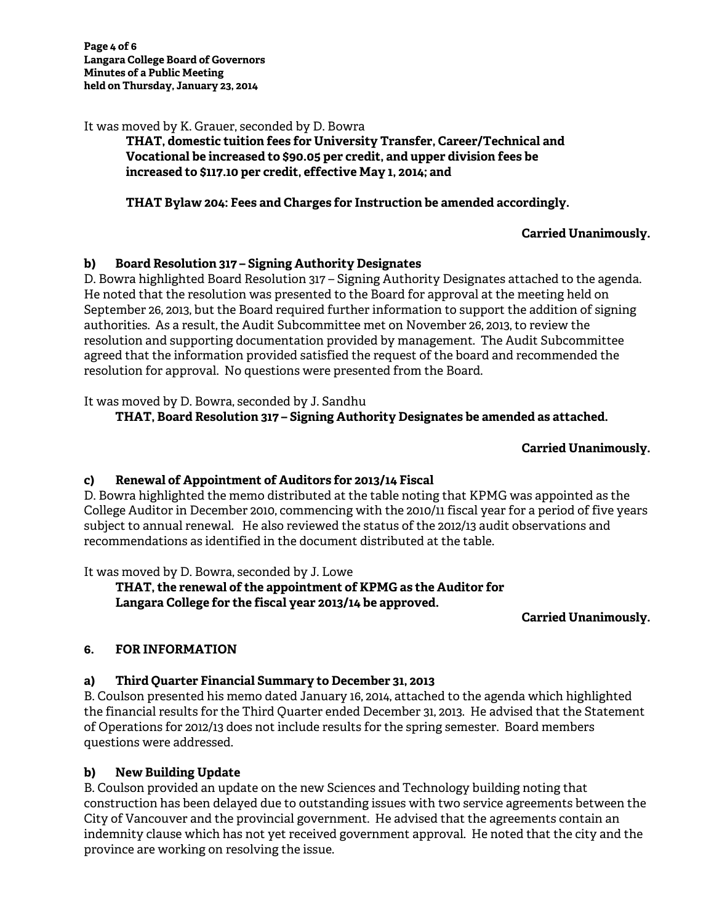It was moved by K. Grauer, seconded by D. Bowra

### **THAT, domestic tuition fees for University Transfer, Career/Technical and Vocational be increased to \$90.05 per credit, and upper division fees be increased to \$117.10 per credit, effective May 1, 2014; and**

## **THAT Bylaw 204: Fees and Charges for Instruction be amended accordingly.**

### **Carried Unanimously.**

### **b) Board Resolution 317 – Signing Authority Designates**

D. Bowra highlighted Board Resolution 317 – Signing Authority Designates attached to the agenda. He noted that the resolution was presented to the Board for approval at the meeting held on September 26, 2013, but the Board required further information to support the addition of signing authorities. As a result, the Audit Subcommittee met on November 26, 2013, to review the resolution and supporting documentation provided by management. The Audit Subcommittee agreed that the information provided satisfied the request of the board and recommended the resolution for approval. No questions were presented from the Board.

It was moved by D. Bowra, seconded by J. Sandhu

# **THAT, Board Resolution 317 – Signing Authority Designates be amended as attached.**

# **Carried Unanimously.**

### **c) Renewal of Appointment of Auditors for 2013/14 Fiscal**

D. Bowra highlighted the memo distributed at the table noting that KPMG was appointed as the College Auditor in December 2010, commencing with the 2010/11 fiscal year for a period of five years subject to annual renewal. He also reviewed the status of the 2012/13 audit observations and recommendations as identified in the document distributed at the table.

It was moved by D. Bowra, seconded by J. Lowe

### **THAT, the renewal of the appointment of KPMG as the Auditor for Langara College for the fiscal year 2013/14 be approved.**

### **Carried Unanimously.**

# **6. FOR INFORMATION**

### **a) Third Quarter Financial Summary to December 31, 2013**

B. Coulson presented his memo dated January 16, 2014, attached to the agenda which highlighted the financial results for the Third Quarter ended December 31, 2013. He advised that the Statement of Operations for 2012/13 does not include results for the spring semester. Board members questions were addressed.

### **b) New Building Update**

B. Coulson provided an update on the new Sciences and Technology building noting that construction has been delayed due to outstanding issues with two service agreements between the City of Vancouver and the provincial government. He advised that the agreements contain an indemnity clause which has not yet received government approval. He noted that the city and the province are working on resolving the issue.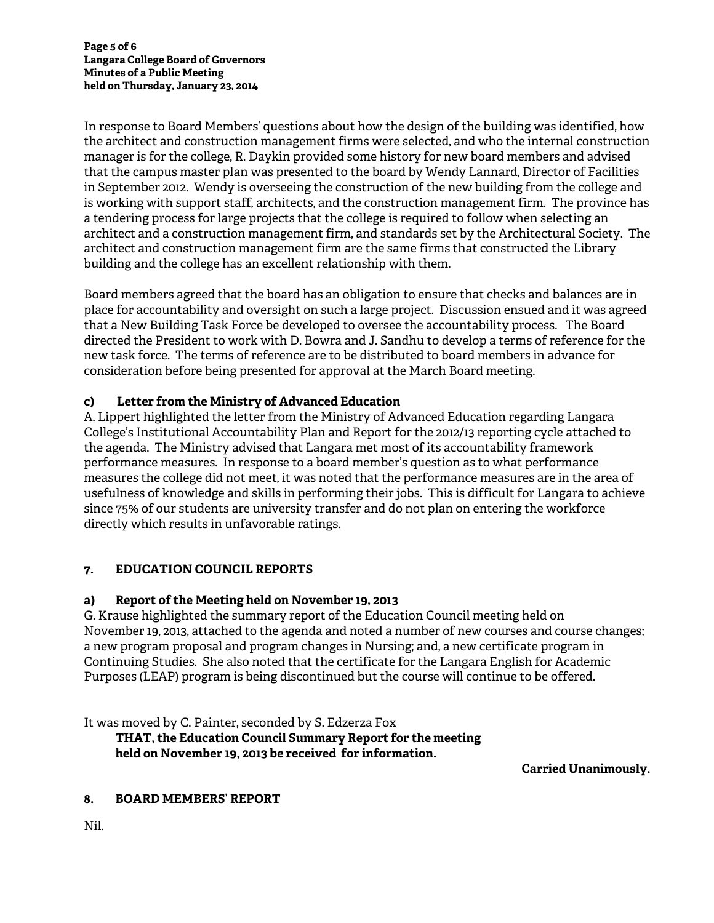In response to Board Members' questions about how the design of the building was identified, how the architect and construction management firms were selected, and who the internal construction manager is for the college, R. Daykin provided some history for new board members and advised that the campus master plan was presented to the board by Wendy Lannard, Director of Facilities in September 2012. Wendy is overseeing the construction of the new building from the college and is working with support staff, architects, and the construction management firm. The province has a tendering process for large projects that the college is required to follow when selecting an architect and a construction management firm, and standards set by the Architectural Society. The architect and construction management firm are the same firms that constructed the Library building and the college has an excellent relationship with them.

Board members agreed that the board has an obligation to ensure that checks and balances are in place for accountability and oversight on such a large project. Discussion ensued and it was agreed that a New Building Task Force be developed to oversee the accountability process. The Board directed the President to work with D. Bowra and J. Sandhu to develop a terms of reference for the new task force. The terms of reference are to be distributed to board members in advance for consideration before being presented for approval at the March Board meeting.

### **c) Letter from the Ministry of Advanced Education**

A. Lippert highlighted the letter from the Ministry of Advanced Education regarding Langara College's Institutional Accountability Plan and Report for the 2012/13 reporting cycle attached to the agenda. The Ministry advised that Langara met most of its accountability framework performance measures. In response to a board member's question as to what performance measures the college did not meet, it was noted that the performance measures are in the area of usefulness of knowledge and skills in performing their jobs. This is difficult for Langara to achieve since 75% of our students are university transfer and do not plan on entering the workforce directly which results in unfavorable ratings.

### **7. EDUCATION COUNCIL REPORTS**

### **a) Report of the Meeting held on November 19, 2013**

G. Krause highlighted the summary report of the Education Council meeting held on November 19, 2013, attached to the agenda and noted a number of new courses and course changes; a new program proposal and program changes in Nursing; and, a new certificate program in Continuing Studies. She also noted that the certificate for the Langara English for Academic Purposes (LEAP) program is being discontinued but the course will continue to be offered.

It was moved by C. Painter, seconded by S. Edzerza Fox

 **THAT, the Education Council Summary Report for the meeting held on November 19, 2013 be received for information.** 

**Carried Unanimously.** 

### **8. BOARD MEMBERS' REPORT**

Nil.